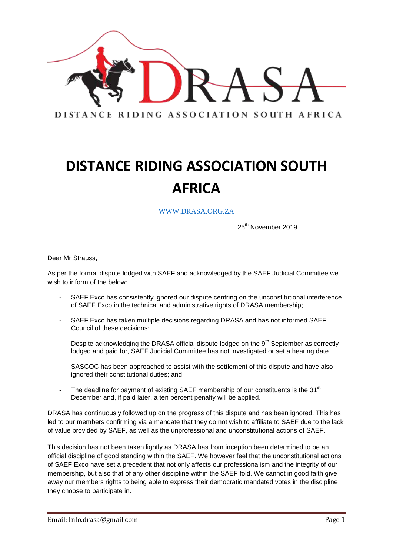

## **DISTANCE RIDING ASSOCIATION SOUTH AFRICA**

WWW.DRASA.ORG.ZA

25<sup>th</sup> November 2019

Dear Mr Strauss,

As per the formal dispute lodged with SAEF and acknowledged by the SAEF Judicial Committee we wish to inform of the below:

- SAEF Exco has consistently ignored our dispute centring on the unconstitutional interference of SAEF Exco in the technical and administrative rights of DRASA membership;
- SAEF Exco has taken multiple decisions regarding DRASA and has not informed SAEF Council of these decisions;
- Despite acknowledging the DRASA official dispute lodged on the  $9<sup>th</sup>$  September as correctly lodged and paid for, SAEF Judicial Committee has not investigated or set a hearing date.
- SASCOC has been approached to assist with the settlement of this dispute and have also ignored their constitutional duties; and
- The deadline for payment of existing SAEF membership of our constituents is the 31 $\mathrm{^{st}}$ December and, if paid later, a ten percent penalty will be applied.

DRASA has continuously followed up on the progress of this dispute and has been ignored. This has led to our members confirming via a mandate that they do not wish to affiliate to SAEF due to the lack of value provided by SAEF, as well as the unprofessional and unconstitutional actions of SAEF.

This decision has not been taken lightly as DRASA has from inception been determined to be an official discipline of good standing within the SAEF. We however feel that the unconstitutional actions of SAEF Exco have set a precedent that not only affects our professionalism and the integrity of our membership, but also that of any other discipline within the SAEF fold. We cannot in good faith give away our members rights to being able to express their democratic mandated votes in the discipline they choose to participate in.